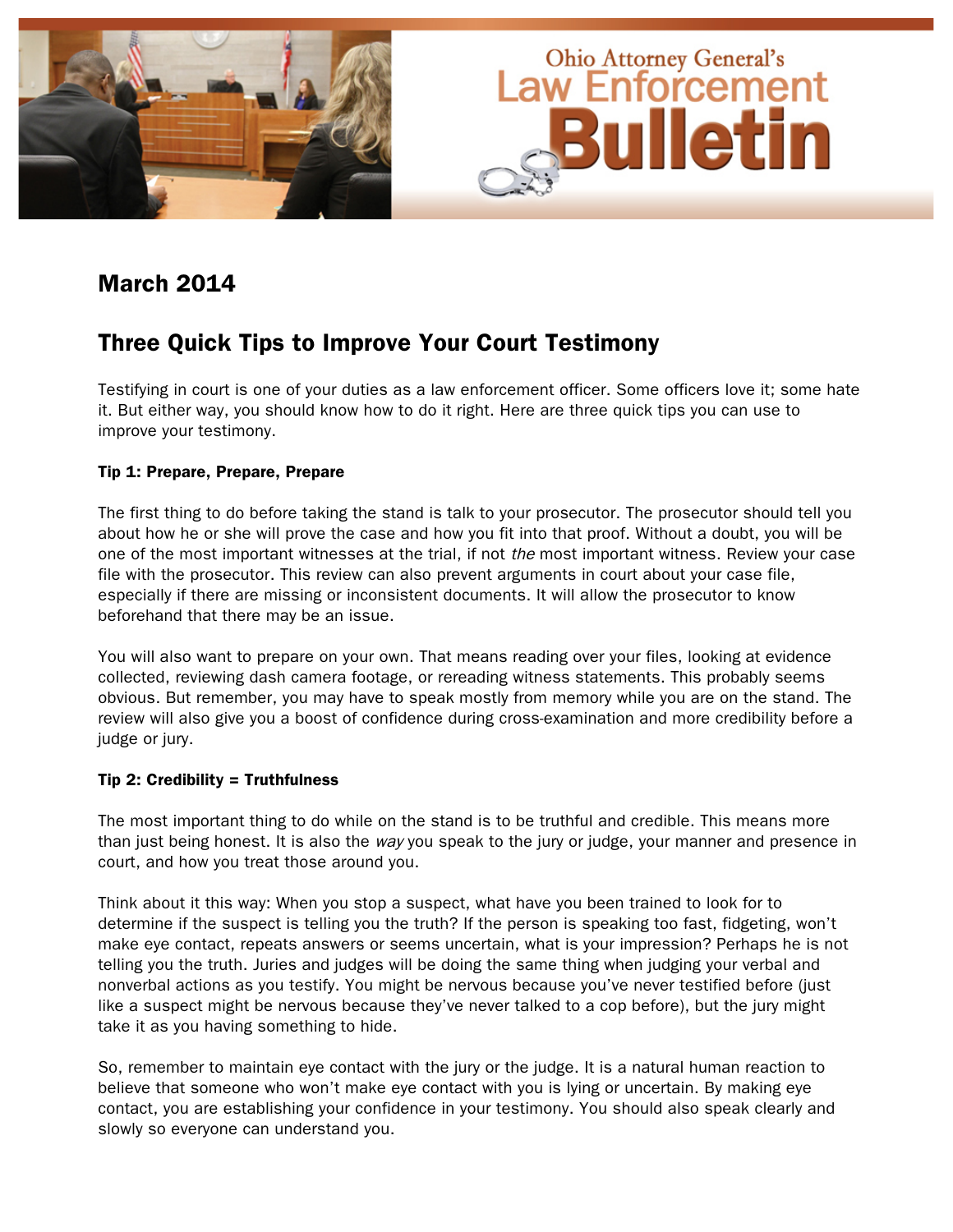

## March 2014

## Three Quick Tips to Improve Your Court Testimony

Testifying in court is one of your duties as a law enforcement officer. Some officers love it; some hate it. But either way, you should know how to do it right. Here are three quick tips you can use to improve your testimony.

### Tip 1: Prepare, Prepare, Prepare

The first thing to do before taking the stand is talk to your prosecutor. The prosecutor should tell you about how he or she will prove the case and how you fit into that proof. Without a doubt, you will be one of the most important witnesses at the trial, if not the most important witness. Review your case file with the prosecutor. This review can also prevent arguments in court about your case file, especially if there are missing or inconsistent documents. It will allow the prosecutor to know beforehand that there may be an issue.

You will also want to prepare on your own. That means reading over your files, looking at evidence collected, reviewing dash camera footage, or rereading witness statements. This probably seems obvious. But remember, you may have to speak mostly from memory while you are on the stand. The review will also give you a boost of confidence during cross-examination and more credibility before a judge or jury.

### Tip 2: Credibility = Truthfulness

The most important thing to do while on the stand is to be truthful and credible. This means more than just being honest. It is also the way you speak to the jury or judge, your manner and presence in court, and how you treat those around you.

Think about it this way: When you stop a suspect, what have you been trained to look for to determine if the suspect is telling you the truth? If the person is speaking too fast, fidgeting, won't make eye contact, repeats answers or seems uncertain, what is your impression? Perhaps he is not telling you the truth. Juries and judges will be doing the same thing when judging your verbal and nonverbal actions as you testify. You might be nervous because you've never testified before (just like a suspect might be nervous because they've never talked to a cop before), but the jury might take it as you having something to hide.

So, remember to maintain eye contact with the jury or the judge. It is a natural human reaction to believe that someone who won't make eye contact with you is lying or uncertain. By making eye contact, you are establishing your confidence in your testimony. You should also speak clearly and slowly so everyone can understand you.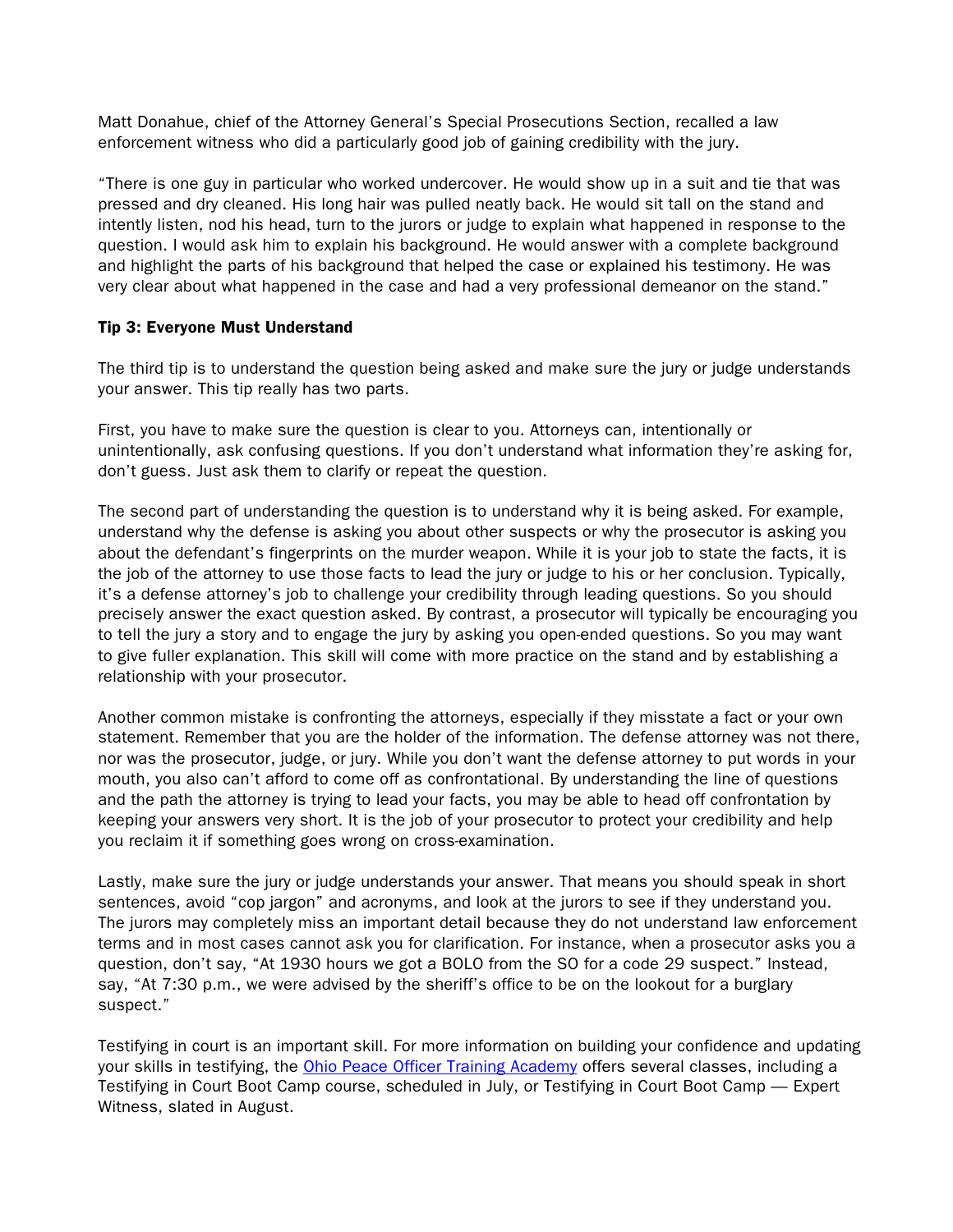Matt Donahue, chief of the Attorney General's Special Prosecutions Section, recalled a law enforcement witness who did a particularly good job of gaining credibility with the jury.

"There is one guy in particular who worked undercover. He would show up in a suit and tie that was pressed and dry cleaned. His long hair was pulled neatly back. He would sit tall on the stand and intently listen, nod his head, turn to the jurors or judge to explain what happened in response to the question. I would ask him to explain his background. He would answer with a complete background and highlight the parts of his background that helped the case or explained his testimony. He was very clear about what happened in the case and had a very professional demeanor on the stand."

### Tip 3: Everyone Must Understand

The third tip is to understand the question being asked and make sure the jury or judge understands your answer. This tip really has two parts.

First, you have to make sure the question is clear to you. Attorneys can, intentionally or unintentionally, ask confusing questions. If you don't understand what information they're asking for, don't guess. Just ask them to clarify or repeat the question.

The second part of understanding the question is to understand why it is being asked. For example, understand why the defense is asking you about other suspects or why the prosecutor is asking you about the defendant's fingerprints on the murder weapon. While it is your job to state the facts, it is the job of the attorney to use those facts to lead the jury or judge to his or her conclusion. Typically, it's a defense attorney's job to challenge your credibility through leading questions. So you should precisely answer the exact question asked. By contrast, a prosecutor will typically be encouraging you to tell the jury a story and to engage the jury by asking you open-ended questions. So you may want to give fuller explanation. This skill will come with more practice on the stand and by establishing a relationship with your prosecutor.

Another common mistake is confronting the attorneys, especially if they misstate a fact or your own statement. Remember that you are the holder of the information. The defense attorney was not there, nor was the prosecutor, judge, or jury. While you don't want the defense attorney to put words in your mouth, you also can't afford to come off as confrontational. By understanding the line of questions and the path the attorney is trying to lead your facts, you may be able to head off confrontation by keeping your answers very short. It is the job of your prosecutor to protect your credibility and help you reclaim it if something goes wrong on cross-examination.

Lastly, make sure the jury or judge understands your answer. That means you should speak in short sentences, avoid "cop jargon" and acronyms, and look at the jurors to see if they understand you. The jurors may completely miss an important detail because they do not understand law enforcement terms and in most cases cannot ask you for clarification. For instance, when a prosecutor asks you a question, don't say, "At 1930 hours we got a BOLO from the SO for a code 29 suspect." Instead, say, "At 7:30 p.m., we were advised by the sheriff's office to be on the lookout for a burglary suspect."

Testifying in court is an important skill. For more information on building your confidence and updating your skills in testifying, the [Ohio Peace Officer Training Academy](http://www.ohioattorneygeneral.gov/Law-Enforcement/Ohio-Peace-Officer-Training-Academy/Course-Catalog/Course-Search.aspx?searchtext=testifying+in+court&searchmode=exactphrase) offers several classes, including a Testifying in Court Boot Camp course, scheduled in July, or Testifying in Court Boot Camp — Expert Witness, slated in August.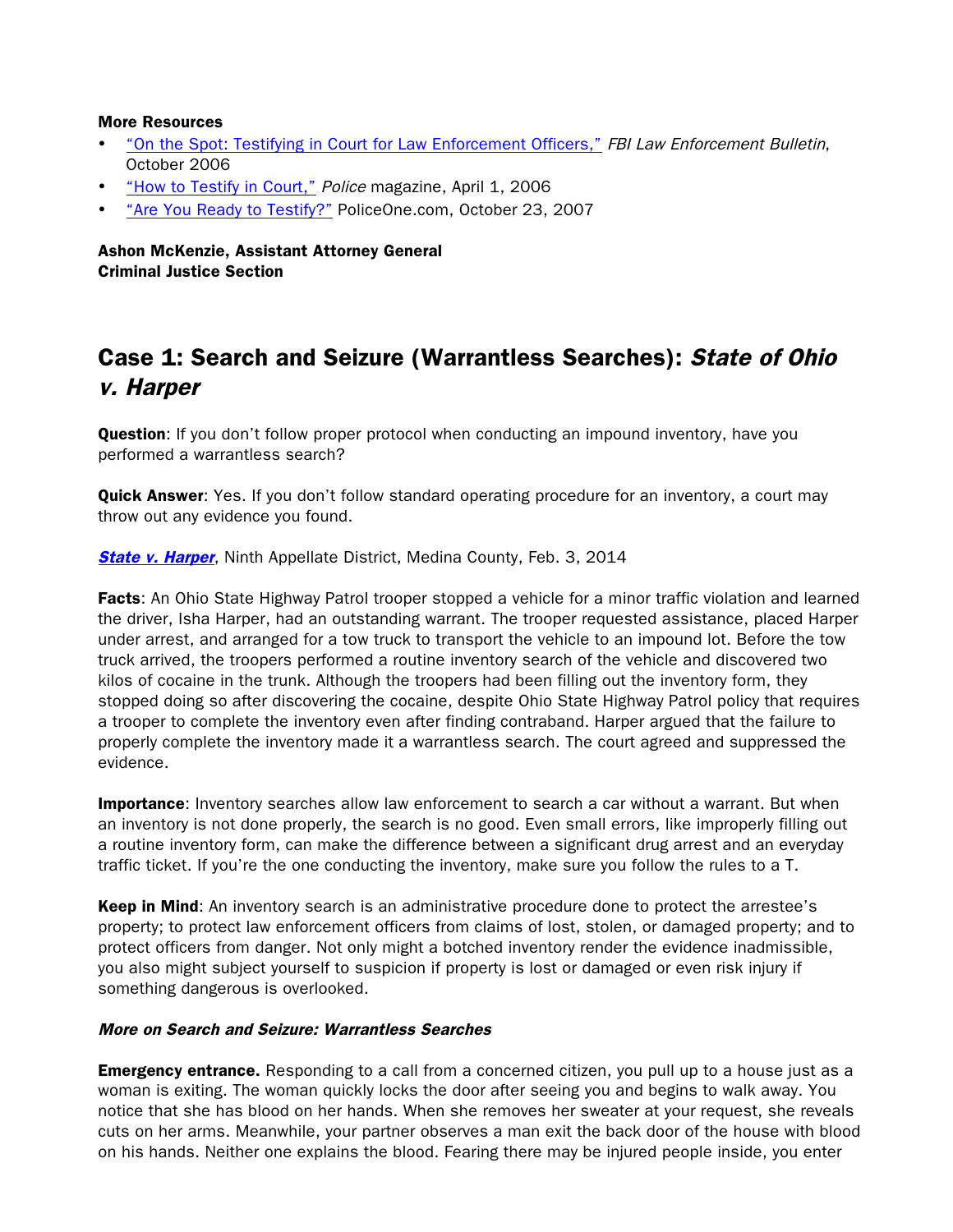#### More Resources

- ["On the Spot: Testifying in Court for Law Enforcement Officers,"](http://leb.fbi.gov/2006-pdfs/leb-october-2006) FBI Law Enforcement Bulletin, October 2006
- ["How to Testify in Court,"](http://www.policemag.com/channel/patrol/articles/2006/04/how-to-testify-in-court.aspx) Police magazine, April 1, 2006
- ["Are You Ready to Testify?"](http://www.policeone.com/legal/articles/1459523-Are-you-ready-to-testify/) PoliceOne.com, October 23, 2007

Ashon McKenzie, Assistant Attorney General Criminal Justice Section

# Case 1: Search and Seizure (Warrantless Searches): State of Ohio v. Harper

**Question:** If you don't follow proper protocol when conducting an impound inventory, have you performed a warrantless search?

Quick Answer: Yes. If you don't follow standard operating procedure for an inventory, a court may throw out any evidence you found.

**[State v. Harper](http://www.google.com/url?sa=t&rct=j&q=&esrc=s&frm=1&source=web&cd=1&cad=rja&ved=0CCQQFjAA&url=http%3A%2F%2Fwww.sconet.state.oh.us%2Frod%2Fdocs%2Fpdf%2F9%2F2014%2F2014-ohio-347.pdf&ei=_gkOU9nNMe7msATu4YKoDQ&usg=AFQjCNFFa1fS9dxyqw09IIXWPb7usvC9sg&bvm=bv.61965928,d.cWc), Ninth Appellate District, Medina County, Feb. 3, 2014** 

Facts: An Ohio State Highway Patrol trooper stopped a vehicle for a minor traffic violation and learned the driver, Isha Harper, had an outstanding warrant. The trooper requested assistance, placed Harper under arrest, and arranged for a tow truck to transport the vehicle to an impound lot. Before the tow truck arrived, the troopers performed a routine inventory search of the vehicle and discovered two kilos of cocaine in the trunk. Although the troopers had been filling out the inventory form, they stopped doing so after discovering the cocaine, despite Ohio State Highway Patrol policy that requires a trooper to complete the inventory even after finding contraband. Harper argued that the failure to properly complete the inventory made it a warrantless search. The court agreed and suppressed the evidence.

Importance: Inventory searches allow law enforcement to search a car without a warrant. But when an inventory is not done properly, the search is no good. Even small errors, like improperly filling out a routine inventory form, can make the difference between a significant drug arrest and an everyday traffic ticket. If you're the one conducting the inventory, make sure you follow the rules to a T.

Keep in Mind: An inventory search is an administrative procedure done to protect the arrestee's property; to protect law enforcement officers from claims of lost, stolen, or damaged property; and to protect officers from danger. Not only might a botched inventory render the evidence inadmissible, you also might subject yourself to suspicion if property is lost or damaged or even risk injury if something dangerous is overlooked.

### More on Search and Seizure: Warrantless Searches

**Emergency entrance.** Responding to a call from a concerned citizen, you pull up to a house just as a woman is exiting. The woman quickly locks the door after seeing you and begins to walk away. You notice that she has blood on her hands. When she removes her sweater at your request, she reveals cuts on her arms. Meanwhile, your partner observes a man exit the back door of the house with blood on his hands. Neither one explains the blood. Fearing there may be injured people inside, you enter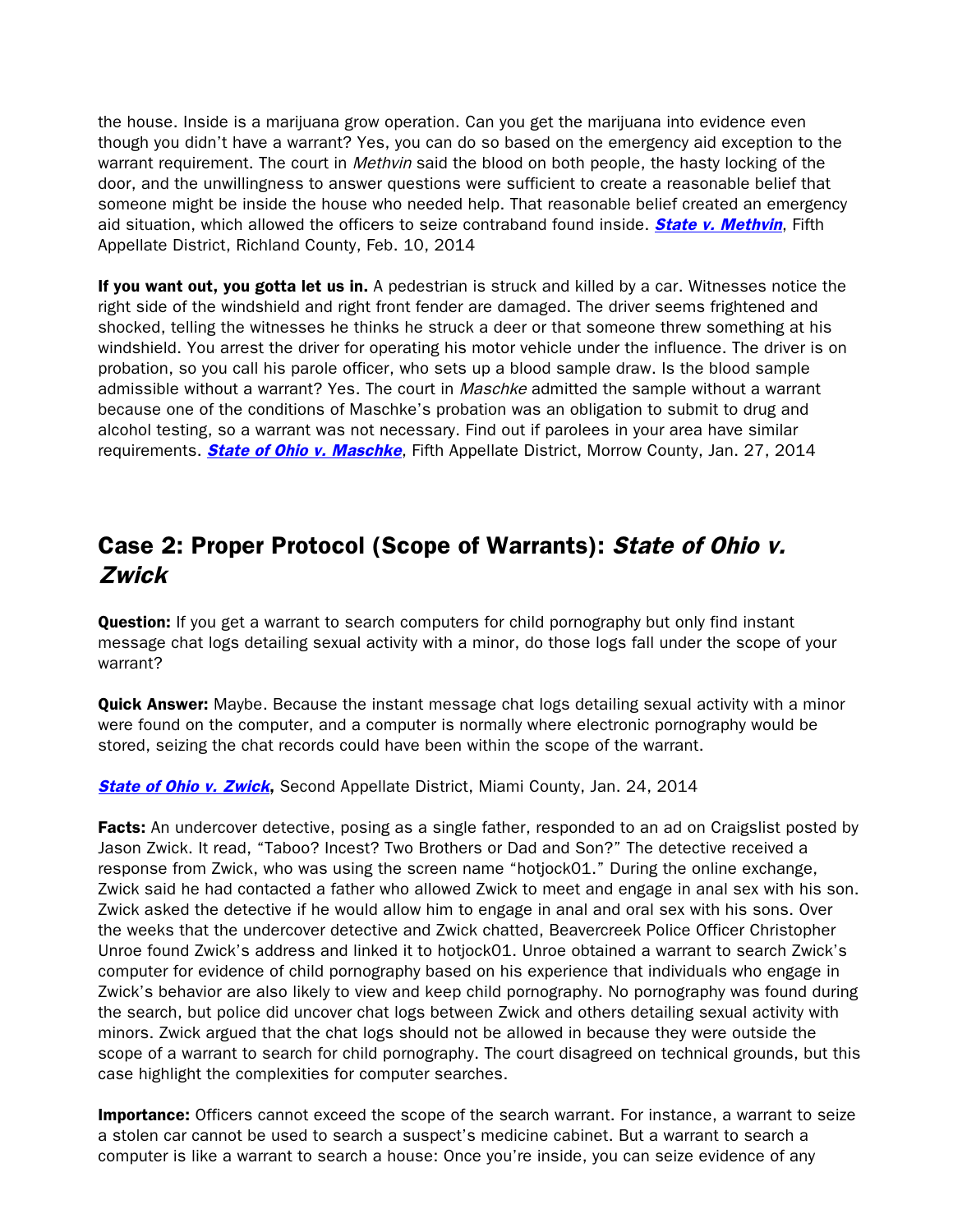the house. Inside is a marijuana grow operation. Can you get the marijuana into evidence even though you didn't have a warrant? Yes, you can do so based on the emergency aid exception to the warrant requirement. The court in *Methvin* said the blood on both people, the hasty locking of the door, and the unwillingness to answer questions were sufficient to create a reasonable belief that someone might be inside the house who needed help. That reasonable belief created an emergency aid situation, which allowed the officers to seize contraband found inside. **[State v. Methvin](http://www.google.com/url?sa=t&rct=j&q=&esrc=s&frm=1&source=web&cd=1&ved=0CCQQFjAA&url=http%3A%2F%2Fwww.sconet.state.oh.us%2Frod%2Fdocs%2Fpdf%2F5%2F2014%2F2014-ohio-590.pdf&ei=6g8OU5-tGs7LsQSVooCAAQ&usg=AFQjCNG0g1AMskQWgspgYjP-XW_4s_NJ6g&bvm=bv.61965928,d.cWc&cad=rja)**, Fifth Appellate District, Richland County, Feb. 10, 2014

If you want out, you gotta let us in. A pedestrian is struck and killed by a car. Witnesses notice the right side of the windshield and right front fender are damaged. The driver seems frightened and shocked, telling the witnesses he thinks he struck a deer or that someone threw something at his windshield. You arrest the driver for operating his motor vehicle under the influence. The driver is on probation, so you call his parole officer, who sets up a blood sample draw. Is the blood sample admissible without a warrant? Yes. The court in *Maschke* admitted the sample without a warrant because one of the conditions of Maschke's probation was an obligation to submit to drug and alcohol testing, so a warrant was not necessary. Find out if parolees in your area have similar requirements. **[State of Ohio v. Maschke](http://www.sconet.state.oh.us/rod/docs/pdf/5/2014/2014-ohio-288.pdf)**, Fifth Appellate District, Morrow County, Jan. 27, 2014

## Case 2: Proper Protocol (Scope of Warrants): State of Ohio v. Zwick

**Question:** If you get a warrant to search computers for child pornography but only find instant message chat logs detailing sexual activity with a minor, do those logs fall under the scope of your warrant?

**Quick Answer:** Maybe. Because the instant message chat logs detailing sexual activity with a minor were found on the computer, and a computer is normally where electronic pornography would be stored, seizing the chat records could have been within the scope of the warrant.

**[State of Ohio v. Zwick](http://www.supremecourt.ohio.gov/rod/docs/pdf/2/2014/2014-ohio-230.pdf),** Second Appellate District, Miami County, Jan. 24, 2014

**Facts:** An undercover detective, posing as a single father, responded to an ad on Craigslist posted by Jason Zwick. It read, "Taboo? Incest? Two Brothers or Dad and Son?" The detective received a response from Zwick, who was using the screen name "hotjock01." During the online exchange, Zwick said he had contacted a father who allowed Zwick to meet and engage in anal sex with his son. Zwick asked the detective if he would allow him to engage in anal and oral sex with his sons. Over the weeks that the undercover detective and Zwick chatted, Beavercreek Police Officer Christopher Unroe found Zwick's address and linked it to hotjock01. Unroe obtained a warrant to search Zwick's computer for evidence of child pornography based on his experience that individuals who engage in Zwick's behavior are also likely to view and keep child pornography. No pornography was found during the search, but police did uncover chat logs between Zwick and others detailing sexual activity with minors. Zwick argued that the chat logs should not be allowed in because they were outside the scope of a warrant to search for child pornography. The court disagreed on technical grounds, but this case highlight the complexities for computer searches.

**Importance:** Officers cannot exceed the scope of the search warrant. For instance, a warrant to seize a stolen car cannot be used to search a suspect's medicine cabinet. But a warrant to search a computer is like a warrant to search a house: Once you're inside, you can seize evidence of any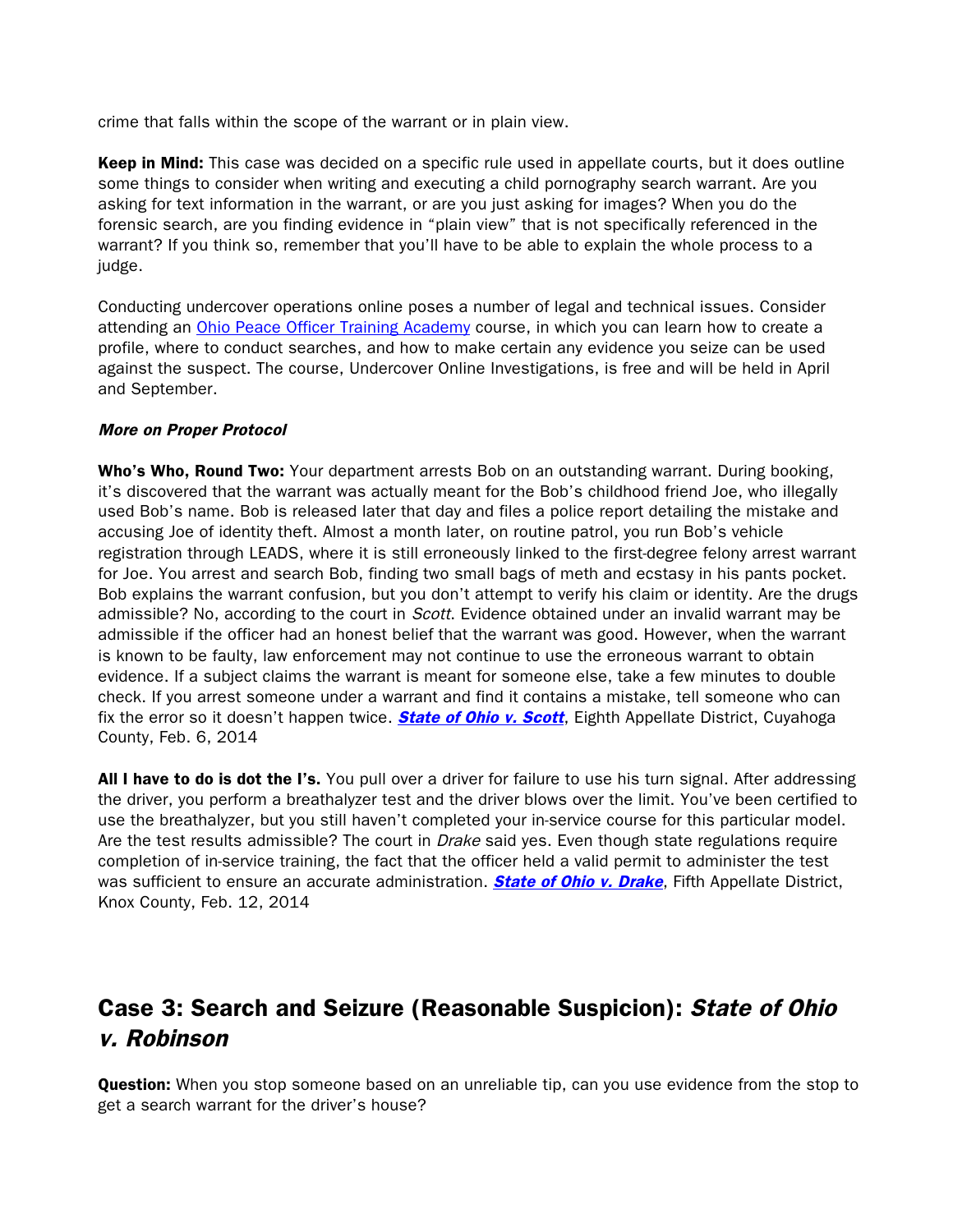crime that falls within the scope of the warrant or in plain view.

Keep in Mind: This case was decided on a specific rule used in appellate courts, but it does outline some things to consider when writing and executing a child pornography search warrant. Are you asking for text information in the warrant, or are you just asking for images? When you do the forensic search, are you finding evidence in "plain view" that is not specifically referenced in the warrant? If you think so, remember that you'll have to be able to explain the whole process to a judge.

Conducting undercover operations online poses a number of legal and technical issues. Consider attending an [Ohio Peace Officer Training Academy](http://www.ohioattorneygeneral.gov/Law-Enforcement/Ohio-Peace-Officer-Training-Academy/Course-Catalog/Course-Search.aspx?searchtext=%22undercover+online+investigations%22&searchmode=anyword) course, in which you can learn how to create a profile, where to conduct searches, and how to make certain any evidence you seize can be used against the suspect. The course, Undercover Online Investigations, is free and will be held in April and September.

### More on Proper Protocol

Who's Who, Round Two: Your department arrests Bob on an outstanding warrant. During booking, it's discovered that the warrant was actually meant for the Bob's childhood friend Joe, who illegally used Bob's name. Bob is released later that day and files a police report detailing the mistake and accusing Joe of identity theft. Almost a month later, on routine patrol, you run Bob's vehicle registration through LEADS, where it is still erroneously linked to the first-degree felony arrest warrant for Joe. You arrest and search Bob, finding two small bags of meth and ecstasy in his pants pocket. Bob explains the warrant confusion, but you don't attempt to verify his claim or identity. Are the drugs admissible? No, according to the court in *Scott*. Evidence obtained under an invalid warrant may be admissible if the officer had an honest belief that the warrant was good. However, when the warrant is known to be faulty, law enforcement may not continue to use the erroneous warrant to obtain evidence. If a subject claims the warrant is meant for someone else, take a few minutes to double check. If you arrest someone under a warrant and find it contains a mistake, tell someone who can fix the error so it doesn't happen twice. **[State of Ohio v. Scott](http://www.supremecourt.ohio.gov/rod/docs/pdf/8/2014/2014-ohio-392.pdf)**, Eighth Appellate District, Cuyahoga County, Feb. 6, 2014

All I have to do is dot the I's. You pull over a driver for failure to use his turn signal. After addressing the driver, you perform a breathalyzer test and the driver blows over the limit. You've been certified to use the breathalyzer, but you still haven't completed your in-service course for this particular model. Are the test results admissible? The court in *Drake* said yes. Even though state regulations require completion of in-service training, the fact that the officer held a valid permit to administer the test was sufficient to ensure an accurate administration. **[State of Ohio v. Drake](http://www.sconet.state.oh.us/rod/docs/pdf/5/2014/2014-ohio-509.pdf)**, Fifth Appellate District, Knox County, Feb. 12, 2014

# Case 3: Search and Seizure (Reasonable Suspicion): State of Ohio v. Robinson

**Question:** When you stop someone based on an unreliable tip, can you use evidence from the stop to get a search warrant for the driver's house?